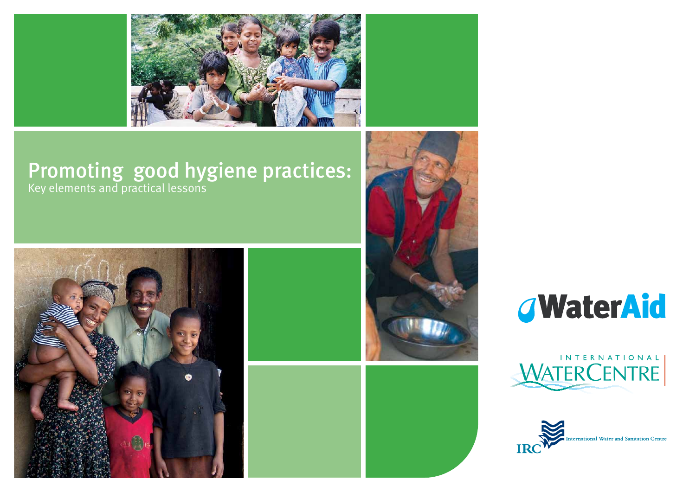

## Promoting good hygiene practices: Key elements and practical lessons









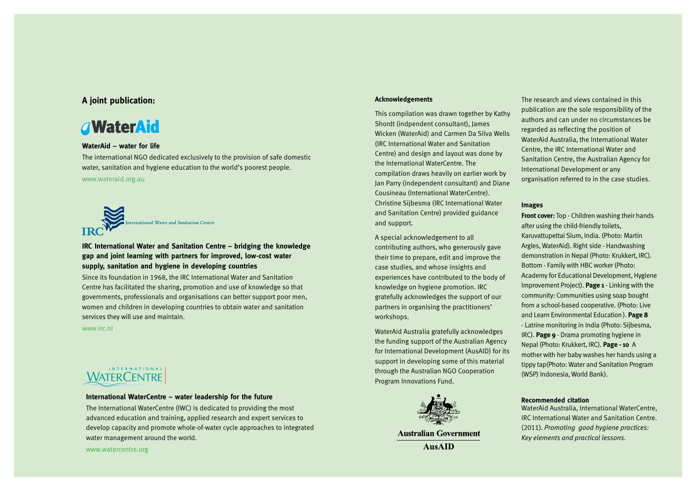### **A joint publication:**

## **WaterAid**

### **WaterAid – water for life**

The international NGO dedicated exclusively to the provision of safe domestic water, sanitation and hygiene education to the world's poorest people.

www.wateraid.org.au

International Water and Sanitation Centre

### **IRC International Water and Sanitation Centre – bridging the knowledge gap and joint learning with partners for improved, low-cost water supply, sanitation and hygiene in developing countries**

Since its foundation in 1968, the IRC International Water and Sanitation Centre has facilitated the sharing, promotion and use of knowledge so that governments, professionals and organisations can better support poor men, women and children in developing countries to obtain water and sanitation services they will use and maintain.

www.irc.nl

# **WATERCENTRE**

#### **International WaterCentre – water leadership for the future**

The International WaterCentre (IWC) is dedicated to providing the most advanced education and training, applied research and expert services to develop capacity and promote whole-of-water cycle approaches to integrated water management around the world.

www.watercentre.org

#### **Acknowledgements**

This compilation was drawn together by Kathy Shordt (indpendent consultant), James Wicken (WaterAid) and Carmen Da Silva Wells (IRC International Water and Sanitation Centre) and design and layout was done by the International WaterCentre. The compilation draws heavily on earlier work by Jan Parry (independent consultant) and Diane Cousineau (International WaterCentre). Christine Sijbesma (IRC International Water and Sanitation Centre) provided guidance and support.

A special acknowledgement to all contributing authors, who generously gave their time to prepare, edit and improve the case studies, and whose insights and experiences have contributed to the body of knowledge on hygiene promotion. IRC gratefully acknowledges the support of our partners in organising the practitioners' workshops.

WaterAid Australia gratefully acknowledges the funding support of the Australian Agency for International Development (AusAID) for its support in developing some of this material through the Australian NGO Cooperation Program Innovations Fund.



**Australian Government AusAID** 

The research and views contained in this publication are the sole responsibility of the authors and can under no circumstances be regarded as reflecting the position of WaterAid Australia, the International Water Centre, the IRC International Water and Sanitation Centre, the Australian Agency for International Development or any organisation referred to in the case studies.

#### **Images**

**Front cover:** Top - Children washing their hands after using the child-friendly toilets, Karuvattupettai Slum, India. (Photo: Martin Argles, WaterAid). Right side - Handwashing demonstration in Nepal (Photo: Krukkert, IRC). Bottom - Family with HBC worker (Photo: Academy for Educational Development, Hygiene Improvement Project). **Page 1** - Linking with the community: Communities using soap bought from a school-based cooperative. (Photo: Live and Learn Environmental Education). **Page 8** - Latrine monitoring in India (Photo: Sijbesma, IRC). **Page 9** - Drama promoting hygiene in Nepal (Photo: Krukkert, IRC). **Page - 10** A mother with her baby washes her hands using a tippy tap(Photo: Water and Sanitation Program (WSP) Indonesia, World Bank).

#### **Recommended citation**

WaterAid Australia, International WaterCentre, IRC International Water and Sanitation Centre. (2011). *Promoting good hygiene practices: Key elements and practical lessons.*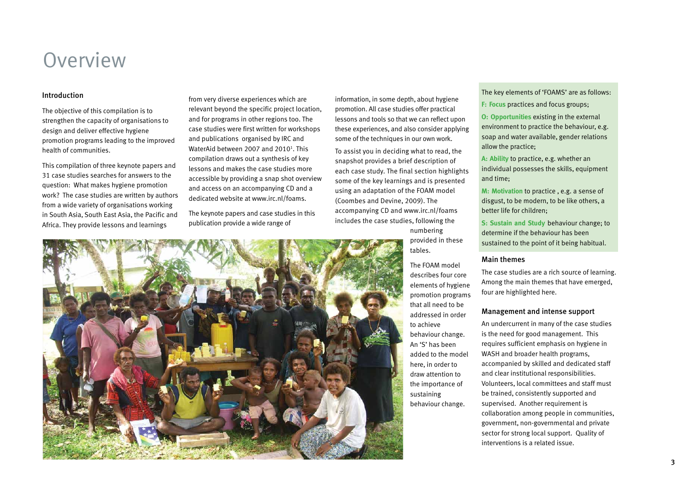# **Overview**

The objective of this compilation is to strengthen the capacity of organisations to design and deliver effective hygiene promotion programs leading to the improved health of communities.

This compilation of three keynote papers and 31 case studies searches for answers to the question: What makes hygiene promotion work? The case studies are written by authors from a wide variety of organisations working in South Asia, South East Asia, the Pacific and Africa. They provide lessons and learnings

from very diverse experiences which are relevant beyond the specific project location, and for programs in other regions too. The case studies were first written for workshops and publications organised by IRC and WaterAid between 2007 and 2010<sup>1</sup>. This compilation draws out a synthesis of key lessons and makes the case studies more accessible by providing a snap shot overview and access on an accompanying CD and a dedicated website at www.irc.nl/foams.

The keynote papers and case studies in this publication provide a wide range of

information, in some depth, about hygiene promotion. All case studies offer practical lessons and tools so that we can reflect upon these experiences, and also consider applying some of the techniques in our own work.

To assist you in deciding what to read, the snapshot provides a brief description of each case study. The final section highlights some of the key learnings and is presented using an adaptation of the FOAM model (Coombes and Devine, 2009). The accompanying CD and www.irc.nl/foams includes the case studies, following the

numbering provided in these tables.

The FOAM model describes four core elements of hygiene promotion programs that all need to be addressed in order to achieve behaviour change. An 'S' has been added to the model here, in order to draw attention to the importance of sustaining behaviour change.

Introduction The key elements of 'FOAMS' are as follows:

**F: Focus** practices and focus groups;

**O: Opportunities** existing in the external environment to practice the behaviour, e.g. soap and water available, gender relations allow the practice;

**A: Ability** to practice, e.g. whether an individual possesses the skills, equipment and time;

**M: Motivation** to practice , e.g. a sense of disgust, to be modern, to be like others, a better life for children;

**S: Sustain and Study** behaviour change; to determine if the behaviour has been sustained to the point of it being habitual.

### Main themes

The case studies are a rich source of learning. Among the main themes that have emerged, four are highlighted here.

### Management and intense support

An undercurrent in many of the case studies is the need for good management. This requires sufficient emphasis on hygiene in WASH and broader health programs, accompanied by skilled and dedicated staff and clear institutional responsibilities. Volunteers, local committees and staff must be trained, consistently supported and supervised. Another requirement is collaboration among people in communities, government, non-governmental and private sector for strong local support. Quality of interventions is a related issue.

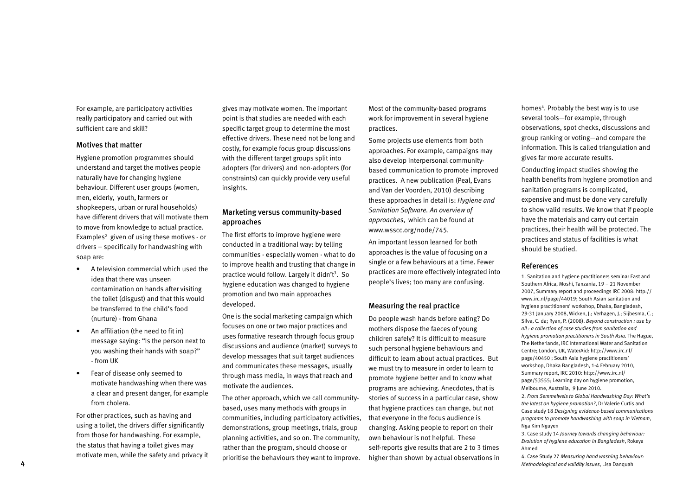For example, are participatory activities really participatory and carried out with sufficient care and skill?

### Motives that matter

Hygiene promotion programmes should understand and target the motives people naturally have for changing hygiene behaviour. Different user groups (women, men, elderly, youth, farmers or shopkeepers, urban or rural households) have different drivers that will motivate them to move from knowledge to actual practice. Examples $^2$  given of using these motives - or drivers – specifically for handwashing with soap are:

- A television commercial which used the idea that there was unseen contamination on hands after visiting the toilet (disgust) and that this would be transferred to the child's food (nurture) - from Ghana
- An affiliation (the need to fit in) message saying: "Is the person next to you washing their hands with soap?" - from UK
- Fear of disease only seemed to motivate handwashing when there was a clear and present danger, for example from cholera.

For other practices, such as having and using a toilet, the drivers differ significantly from those for handwashing. For example, the status that having a toilet gives may motivate men, while the safety and privacy it gives may motivate women. The important point is that studies are needed with each specific target group to determine the most effective drivers. These need not be long and costly, for example focus group discussions with the different target groups split into adopters (for drivers) and non-adopters (for constraints) can quickly provide very useful insights.

### Marketing versus community-based approaches

The first efforts to improve hygiene were conducted in a traditional way: by telling communities - especially women - what to do to improve health and trusting that change in practice would follow. Largely it didn't<sup>3</sup>. So hygiene education was changed to hygiene promotion and two main approaches developed.

One is the social marketing campaign which focuses on one or two major practices and uses formative research through focus group discussions and audience (market) surveys to develop messages that suit target audiences and communicates these messages, usually through mass media, in ways that reach and motivate the audiences.

The other approach, which we call communitybased, uses many methods with groups in communities, including participatory activities, demonstrations, group meetings, trials, group planning activities, and so on. The community, rather than the program, should choose or prioritise the behaviours they want to improve.

Most of the community-based programs work for improvement in several hygiene practices.

Some projects use elements from both approaches. For example, campaigns may also develop interpersonal communitybased communication to promote improved practices. A new publication (Peal, Evans and Van der Voorden, 2010) describing these approaches in detail is: *Hygiene and Sanitation Software. An overview of approaches*, which can be found at www.wsscc.org/node/745.

An important lesson learned for both approaches is the value of focusing on a single or a few behaviours at a time. Fewer practices are more effectively integrated into people's lives; too many are confusing.

### Measuring the real practice

Do people wash hands before eating? Do mothers dispose the faeces of young children safely? It is difficult to measure such personal hygiene behaviours and difficult to learn about actual practices. But we must try to measure in order to learn to promote hygiene better and to know what programs are achieving. Anecdotes, that is stories of success in a particular case, show that hygiene practices can change, but not that everyone in the focus audience is changing. Asking people to report on their own behaviour is not helpful. These self-reports give results that are 2 to 3 times higher than shown by actual observations in

homes<sup>4</sup>. Probably the best way is to use several tools—for example, through observations, spot checks, discussions and group ranking or voting—and compare the information. This is called triangulation and gives far more accurate results.

Conducting impact studies showing the health benefits from hygiene promotion and sanitation programs is complicated, expensive and must be done very carefully to show valid results. We know that if people have the materials and carry out certain practices, their health will be protected. The practices and status of facilities is what should be studied.

### References

1. Sanitation and hygiene practitioners seminar East and Southern Africa, Moshi, Tanzania, 19 – 21 November 2007, Summary report and proceedings IRC 2008: http:// www.irc.nl/page/44019; South Asian sanitation and hygiene practitioners' workshop, Dhaka, Bangladesh, 29-31 January 2008, Wicken, J.; Verhagen, J.; Sijbesma, C.; Silva, C. da; Ryan, P. (2008). *Beyond construction : use by all : a collection of case studies from sanitation and hygiene promotion practitioners in South Asia.* The Hague, The Netherlands, IRC International Water and Sanitation Centre; London, UK, WaterAid: http://www.irc.nl/ page/40450 ; South Asia hygiene practitioners' workshop, Dhaka Bangladesh, 1-4 February 2010, Summary report, IRC 2010: http://www.irc.nl/ page/53555; Learning day on hygiene promotion, Melbourne, Australia, 9 June 2010.

2. *From Semmelweis to Global Handwashing Day: What's the latest on hygiene promotion?*, Dr Valerie Curtis and Case study 18 *Designing evidence-based communications programs to promote handwashing with soap in Vietnam*, Nga Kim Nguyen

3. Case study 14 *Journey towards changing behaviour: Evolution of hygiene education in Bangladesh*, Rokeya Ahmed

4. Case Study 27 *Measuring hand washing behaviour:*  4 *Methodological and validity issues*, Lisa Danquah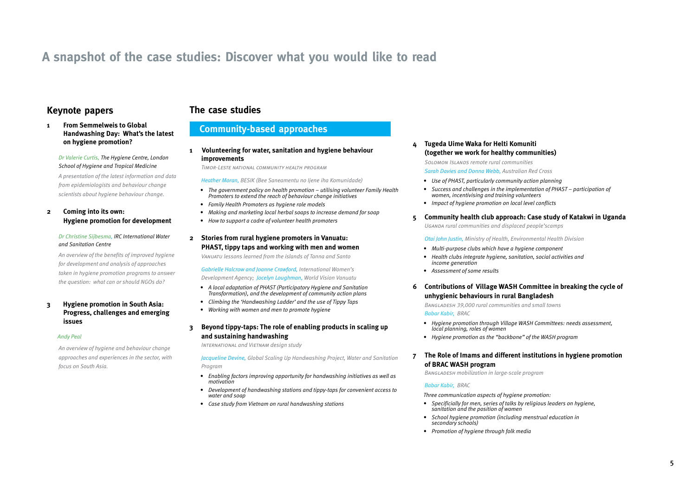## **A snapshot of the case studies: Discover what you would like to read**

### **Keynote papers**

### **The case studies**

#### **1 From Semmelweis to Global Handwashing Day: What's the latest on hygiene promotion?**

#### *Dr Valerie Curtis, The Hygiene Centre, London School of Hygiene and Tropical Medicine*

*A presentation of the latest information and data from epidemiologists and behaviour change scientists about hygiene behaviour change.* 

### **2 Coming into its own: Hygiene promotion for development**

#### *Dr Christine Sijbesma, IRC International Water and Sanitation Centre*

*An overview of the benefits of improved hygiene for development and analysis of approaches taken in hygiene promotion programs to answer the question: what can or should NGOs do?*

### **3 Hygiene promotion in South Asia: Progress, challenges and emerging issues**

#### *Andy Peal*

*An overview of hygiene and behaviour change approaches and experiences in the sector, with focus on South Asia.*

### **Community-based approaches**

**1 Volunteering for water, sanitation and hygiene behaviour improvements** 

 *Timor-Leste national community health program*

#### *Heather Moran, BESIK (Bee Saneamentu no Ijene iha Komunidade)*

- *• The government policy on health promotion utilising volunteer Family Health Promoters to extend the reach of behaviour change initiatives*
- *• Family Health Promoters as hygiene role models*
- *• Making and marketing local herbal soaps to increase demand for soap*
- *• How to support a cadre of volunteer health promoters*

### **2 Stories from rural hygiene promoters in Vanuatu: PHAST, tippy taps and working with men and women**

*Vanuatu lessons learned from the islands of Tanna and Santo*

*Gabrielle Halcrow and Joanne Crawford, International Women's Development Agency; Jocelyn Loughman, World Vision Vanuatu*

- *• A local adaptation of PHAST (Participatory Hygiene and Sanitation Transformation), and the development of community action plans*
- *• Climbing the 'Handwashing Ladder' and the use of Tippy Taps*
- *• Working with women and men to promote hygiene*

### **3 Beyond tippy-taps: The role of enabling products in scaling up and sustaining handwashing**

*International and Vietnam design study*

*Jacqueline Devine, Global Scaling Up Handwashing Project, Water and Sanitation Program*

- *• Enabling factors improving opportunity for handwashing initiatives as well as motivation*
- *• Development of handwashing stations and tippy-taps for convenient access to water and soap*
- *• Case study from Vietnam on rural handwashing stations*

### **4 Tugeda Uime Waka for Helti Komuniti (together we work for healthy communities)**  *Solomon Islands remote rural communities Sarah Davies and Donna Webb, Australian Red Cross*

- *• Use of PHAST, particularly community action planning*
- *• Success and challenges in the implementation of PHAST participation of women, incentivising and training volunteers*
- *• Impact of hygiene promotion on local level conflicts*
- **5 Community health club approach: Case study of Katakwi in Uganda**

*Uganda rural communities and displaced people'scamps*

*Otai John Justin, Ministry of Health, Environmental Health Division*

- *• Multi-purpose clubs which have a hygiene component*
- *• Health clubs integrate hygiene, sanitation, social activities and income generation*
- *• Assessment of some results*

### **6 Contributions of Village WASH Committee in breaking the cycle of unhygienic behaviours in rural Bangladesh**

*Bangladesh 39,000 rural communities and small towns Babar Kabir, BRAC* 

- *• Hygiene promotion through Village WASH Committees: needs assessment, local planning, roles of women*
- *• Hygiene promotion as the "backbone" of the WASH program*

### **7 The Role of Imams and different institutions in hygiene promotion of BRAC WASH program**

*Bangladesh mobilization in large-scale program*

### *Babar Kabir, BRAC*

*Three communication aspects of hygiene promotion:* 

- *• Specificially for men, series of talks by religious leaders on hygiene, sanitation and the position of women*
- *• School hygiene promotion (including menstrual education in secondary schools)*
- *• Promotion of hygiene through folk media*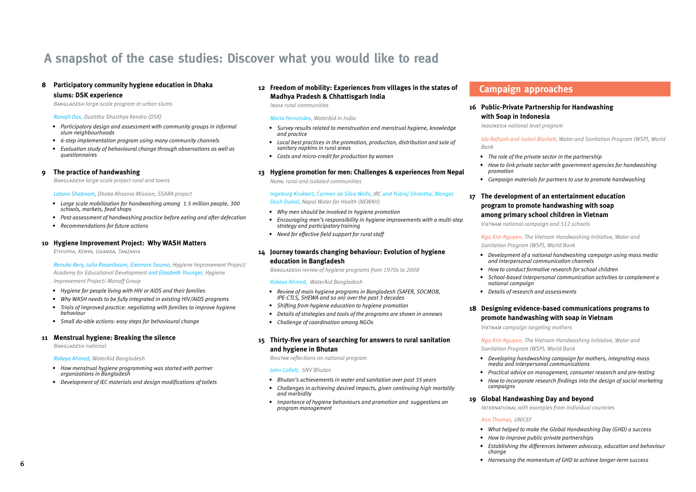## **A snapshot of the case studies: Discover what you would like to read**

### **8 Participatory community hygiene education in Dhaka slums: DSK experience**

*Bangladesh large-scale program in urban slums*

#### *Ranajit Das, Dushtha Shasthya Kendra (DSK)*

- *• Participatory design and assessment with community groups in informal slum neighbourhoods*
- *• 6-step implementation program using many community channels*
- *• Evaluation study of behavioural change through observations as well as questionnaires*

#### **9 The practice of handwashing**

*Bangladesh large-scale project rural and towns*

#### *Laboni Shabnam, Dhaka Ahsania Mission, SSARA project*

- *• Large scale mobilization for handwashing among 1.5 million people, 300 schools, markets, food shops*
- *• Post-assessment of handwashing practice before eating and after defecation*
- *• Recommendations for future actions*

#### **10 Hygiene Improvement Project: Why WASH Matters**

*Ethiopia, Kenya, Uganda, Tanzania*

#### *Renuka Bery, Julia Rosenbaum, Eleonore Seumo, Hygiene Improvement Project/ Academy for Educational Development and Elizabeth Younger, Hygiene Improvement Project/ Manoff Group*

- *• Hygiene for people living with HIV or AIDS and their families*
- *• Why WASH needs to be fully integrated in existing HIV/AIDS programs*
- *• Trials of improved practice: negotiating with families to improve hygiene behaviour*
- *• Small do-able actions: easy steps for behavioural change*

#### **11 Menstrual hygiene: Breaking the silence**

*Bangladesh national* 

*Rokeya Ahmed, WaterAid Bangladesh*

- *• How menstrual hygiene programming was started with partner organizations in Bangladesh*
- *• Development of IEC materials and design modifications of toilets*

### **12 Freedom of mobility: Experiences from villages in the states of Madhya Pradesh & Chhattisgarh India**

*India rural communities*

#### *Maria Fernandes, WaterAid in India*

- *• Survey results related to menstruation and menstrual hygiene, knowledge and practice*
- *• Local best practices in the promotion, production, distribution and sale of sanitary napkins in rural areas*
- *• Costs and micro-credit for production by women*

#### **13 Hygiene promotion for men: Challenges & experiences from Nepal**

*Nepal rural and isolated communities*

*Ingeborg Krukkert, Carmen da Silva Wells, IRC and Yubraj Shrestha, Mangal Dash Duwal, Nepal Water for Health (NEWAH)* 

- *• Why men should be involved in hygiene promotion*
- *• Encouraging men's responsibility in hygiene improvements with a multi-step strategy and participatory training*
- *• Need for effective field support for rural staff*

### **14 Journey towards changing behaviour: Evolution of hygiene education in Bangladesh**

*Bangladesh review of hygiene programs from 1970s to 2008*

#### *Rokeya Ahmed, WaterAid Bangladesh*

- *• Review of main hygiene programs in Bangladesh (SAFER, SOCMOB, IPE-CTLS, SHEWA and so on) over the past 3 decades*
- *• Shifting from hygiene education to hygiene promotion*
- *• Details of strategies and tools of the programs are shown in annexes*
- *• Challenge of coordination among NGOs*

### **15 Thirty-five years of searching for answers to rural sanitation and hygiene in Bhutan**

*Bhutan reflections on national program*

#### *John Collett, SNV Bhutan*

- *• Bhutan's achievements in water and sanitation over past 35 years*
- *• Challenges in achieving desired impacts, given continuing high mortality and morbidity*
- *• Importance of hygiene behaviours and promotion and suggestions on program management*

### **Campaign approaches**

### **16 Public-Private Partnership for Handwashing with Soap in Indonesia**

*Indonesia national level program*

*Ida Rafiqah and Isabel Blackett, Water and Sanitation Program (WSP), World Bank*

- *• The role of the private sector in the partnership*
- *• How to link private sector with government agencies for handwashing promotion*
- *• Campaign materials for partners to use to promote handwashing*

### **17 The development of an entertainment education program to promote handwashing with soap among primary school children in Vietnam**

*Vietnam national campaign and 512 schools*

*Nga Kim Nguyen, The Vietnam Handwashing Initiative, Water and Sanitation Program (WSP), World Bank*

- *• Development of a national handwashing campaign using mass media and interpersonal communication channels*
- *• How to conduct formative research for school children*
- *• School-based interpersonal communication activities to complement a national campaign*
- *• Details of research and assessments*

### **18 Designing evidence-based communications programs to promote handwashing with soap in Vietnam**

*Vietnam campaign targeting mothers*

*Nga Kim Nguyen, The Vietnam Handwashing Initiative, Water and Sanitation Program (WSP), World Bank*

- *• Developing handwashing campaign for mothers, integrating mass media and interpersonal communications*
- *• Practical advice on management, consumer research and pre-testing*
- *• How to incorporate research findings into the design of social marketing campaigns*

### **19 Global Handwashing Day and beyond**

*International with examples from individual countries*

#### *Ann Thomas, UNICEF*

- *• What helped to make the Global Handwashing Day (GHD) a success*
- *• How to improve public-private partnerships*
- *• Establishing the differences between advocacy, education and behaviour change*
- *• Harnessing the momentum of GHD to achieve longer-term success*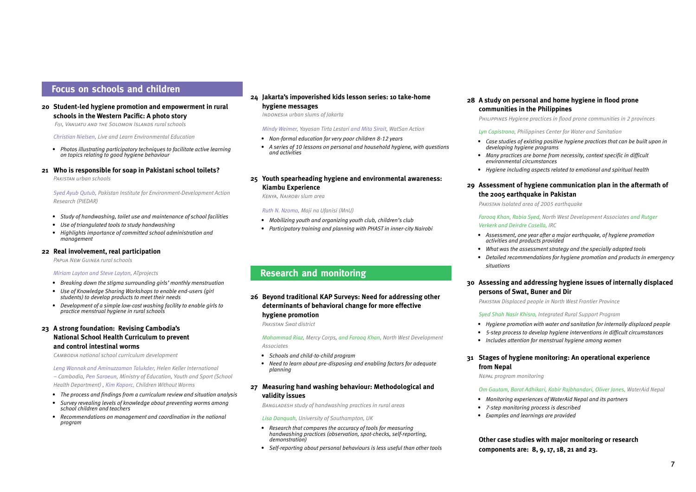### **Focus on schools and children**

### **20 Student-led hygiene promotion and empowerment in rural schools in the Western Pacific: A photo story**

*Fiji, Vanuatu and the Solomon Islands rural schools*

*Christian Nielsen, Live and Learn Environmental Education* 

*• Photos illustrating participatory techniques to facilitate active learning on topics relating to good hygiene behaviour*

#### **21 Who is responsible for soap in Pakistani school toilets?**

*Pakistan urban schools*

*Syed Ayub Qutub, Pakistan Institute for Environment-Development Action Research (PIEDAR)*

- *• Study of handwashing, toilet use and maintenance of school facilities*
- *• Use of triangulated tools to study handwashing*
- *• Highlights importance of committed school administration and management*

#### **22 Real involvement, real participation**

*Papua New Guinea rural schools*

#### *Miriam Layton and Steve Layton, ATprojects*

- *• Breaking down the stigma surrounding girls' monthly menstruation*
- *• Use of Knowledge Sharing Workshops to enable end-users (girl students) to develop products to meet their needs*
- *• Development of a simple low-cost washing facility to enable girls to practice menstrual hygiene in rural schools*

### **23 A strong foundation: Revising Cambodia's National School Health Curriculum to prevent and control intestinal worms**

*Cambodia national school curriculum development*

*Leng Wannak and Aminuzzaman Talukder, Helen Keller International – Cambodia, Pen Saroeun, Ministry of Education, Youth and Sport (School Health Department) , Kim Koporc, Children Without Worms*

- *• The process and findings from a curriculum review and situation analysis*
- *• Survey revealing levels of knowledge about preventing worms among school children and teachers*
- *• Recommendations on management and coordination in the national program*

### **24 Jakarta's impoverished kids lesson series: 10 take-home hygiene messages**

*Indonesia urban slums of Jakarta*

*Mindy Weimer, Yayasan Tirta Lestari and Mita Sirait, WatSan Action*

- *• Non-formal education for very poor children 8-12 years*
- *• A series of 10 lessons on personal and household hygiene, with questions and activities*

### **25 Youth spearheading hygiene and environmental awareness: Kiambu Experience**

*Kenya, Nairobi slum area*

*Ruth N. Nzomo, Maji na Ufanisi (MnU)*

- *• Mobilizing youth and organizing youth club, children's club*
- *• Participatory training and planning with PHAST in inner-city Nairobi*

### **Research and monitoring**

### **26 Beyond traditional KAP Surveys: Need for addressing other determinants of behavioral change for more effective hygiene promotion**

*Pakistan Swat district*

*Mohammad Riaz, Mercy Corps, and Farooq Khan, North West Development Associates*

- *• Schools and child-to-child program*
- *• Need to learn about pre-disposing and enabling factors for adequate planning*

### **27 Measuring hand washing behaviour: Methodological and validity issues**

*Bangladesh study of handwashing practices in rural areas*

#### *Lisa Danquah, University of Southampton, UK*

- *• Research that compares the accuracy of tools for measuring handwashing practices (observation, spot-checks, self-reporting, demonstration)*
- *• Self-reporting about personal behaviours is less useful than other tools*

### **28 A study on personal and home hygiene in flood prone communities in the Philippines**

*Philippines Hygiene practices in flood prone communities in 2 provinces*

*Lyn Capistrano, Philippines Center for Water and Sanitation*

- *• Case studies of existing positive hygiene practices that can be built upon in developing hygiene programs*
- *• Many practices are borne from necessity, context specific in difficult environmental circumstances*
- *• Hygiene including aspects related to emotional and spiritual health*

### **29 Assessment of hygiene communication plan in the aftermath of the 2005 earthquake in Pakistan**

*Pakistan Isolated area of 2005 earthquake* 

#### *Farooq Khan, Rabia Syed, North West Development Associates and Rutger Verkerk and Deirdre Casella, IRC*

- *• Assessment, one year after a major earthquake, of hygiene promotion activities and products provided*
- *• What was the assessment strategy and the specially adapted tools*
- *• Detailed recommendations for hygiene promotion and products in emergency situations*

### **30 Assessing and addressing hygiene issues of internally displaced persons of Swat, Buner and Dir**

*Pakistan Displaced people in North West Frontier Province*

#### *Syed Shah Nasir Khisro, Integrated Rural Support Program*

- *• Hygiene promotion with water and sanitation for internally displaced people*
- *• 5-step process to develop hygiene interventions in difficult circumstances*
- *• Includes attention for menstrual hygiene among women*

### **31 Stages of hygiene monitoring: An operational experience from Nepal**

*Nepal program monitoring*

#### *Om Gautam, Barat Adhikari, Kabir Rajbhandari, Oliver Jones, WaterAid Nepal*

- *• Monitoring experiences of WaterAid Nepal and its partners*
- *• 7-step monitoring process is described*
- *• Examples and learnings are provided*

### **Other case studies with major monitoring or research components are: 8, 9, 17, 18, 21 and 23.**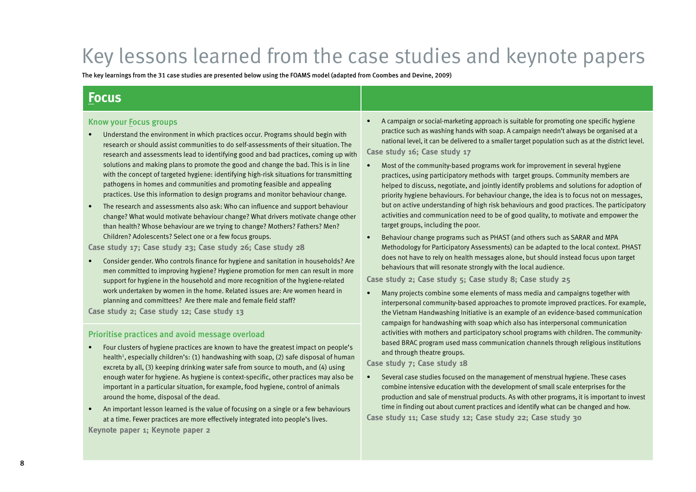# Key lessons learned from the case studies and keynote papers

The key learnings from the 31 case studies are presented below using the FOAMS model (adapted from Coombes and Devine, 2009)

## **Focus**

### Know your Focus groups

- Understand the environment in which practices occur. Programs should begin with research or should assist communities to do self-assessments of their situation. The research and assessments lead to identifying good and bad practices, coming up with solutions and making plans to promote the good and change the bad. This is in line with the concept of targeted hygiene: identifying high-risk situations for transmitting pathogens in homes and communities and promoting feasible and appealing practices. Use this information to design programs and monitor behaviour change.
- The research and assessments also ask: Who can influence and support behaviour change? What would motivate behaviour change? What drivers motivate change other than health? Whose behaviour are we trying to change? Mothers? Fathers? Men? Children? Adolescents? Select one or a few focus groups.

**Case study 17; Case study 23; Case study 26; Case study 28**

• Consider gender. Who controls finance for hygiene and sanitation in households? Are men committed to improving hygiene? Hygiene promotion for men can result in more support for hygiene in the household and more recognition of the hygiene-related work undertaken by women in the home. Related issues are: Are women heard in planning and committees? Are there male and female field staff?

**Case study 2; Case study 12; Case study 13**

### Prioritise practices and avoid message overload

- Four clusters of hygiene practices are known to have the greatest impact on people's health<sup>1</sup>, especially children's: (1) handwashing with soap, (2) safe disposal of human excreta by all, (3) keeping drinking water safe from source to mouth, and (4) using enough water for hygiene. As hygiene is context-specific, other practices may also be important in a particular situation, for example, food hygiene, control of animals around the home, disposal of the dead.
- An important lesson learned is the value of focusing on a single or a few behaviours at a time. Fewer practices are more effectively integrated into people's lives. **Keynote paper 1; Keynote paper 2**

• A campaign or social-marketing approach is suitable for promoting one specific hygiene practice such as washing hands with soap. A campaign needn't always be organised at a national level, it can be delivered to a smaller target population such as at the district level. **Case study 16; Case study 17**

• Most of the community-based programs work for improvement in several hygiene practices, using participatory methods with target groups. Community members are helped to discuss, negotiate, and jointly identify problems and solutions for adoption of priority hygiene behaviours. For behaviour change, the idea is to focus not on messages, but on active understanding of high risk behaviours and good practices. The participatory activities and communication need to be of good quality, to motivate and empower the target groups, including the poor.

• Behaviour change programs such as PHAST (and others such as SARAR and MPA Methodology for Participatory Assessments) can be adapted to the local context. PHAST does not have to rely on health messages alone, but should instead focus upon target behaviours that will resonate strongly with the local audience.

**Case study 2; Case study 5; Case study 8; Case study 25**

• Many projects combine some elements of mass media and campaigns together with interpersonal community-based approaches to promote improved practices. For example, the Vietnam Handwashing Initiative is an example of an evidence-based communication campaign for handwashing with soap which also has interpersonal communication activities with mothers and participatory school programs with children. The communitybased BRAC program used mass communication channels through religious institutions and through theatre groups.

**Case study 7; Case study 18**

• Several case studies focused on the management of menstrual hygiene. These cases combine intensive education with the development of small scale enterprises for the production and sale of menstrual products. As with other programs, it is important to invest time in finding out about current practices and identify what can be changed and how. **Case study 11; Case study 12; Case study 22; Case study 30**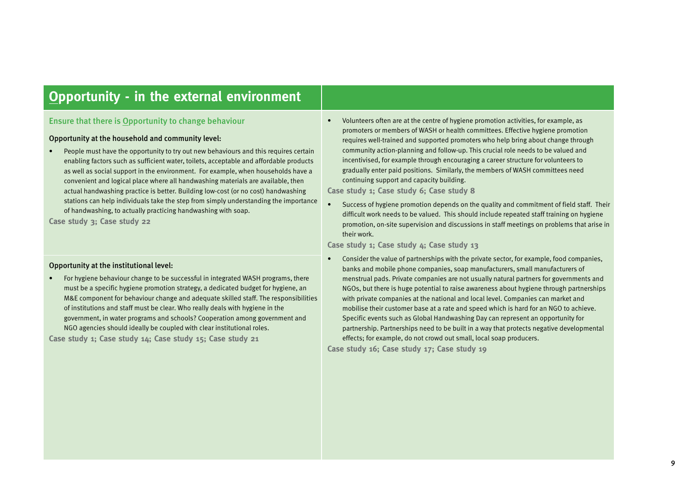## **Opportunity - in the external environment**

### Ensure that there is Opportunity to change behaviour

### Opportunity at the household and community level:

• People must have the opportunity to try out new behaviours and this requires certain enabling factors such as sufficient water, toilets, acceptable and affordable products as well as social support in the environment. For example, when households have a convenient and logical place where all handwashing materials are available, then actual handwashing practice is better. Building low-cost (or no cost) handwashing stations can help individuals take the step from simply understanding the importance of handwashing, to actually practicing handwashing with soap.

**Case study 3; Case study 22**

### Opportunity at the institutional level:

• For hygiene behaviour change to be successful in integrated WASH programs, there must be a specific hygiene promotion strategy, a dedicated budget for hygiene, an M&E component for behaviour change and adequate skilled staff. The responsibilities of institutions and staff must be clear. Who really deals with hygiene in the government, in water programs and schools? Cooperation among government and NGO agencies should ideally be coupled with clear institutional roles.

**Case study 1; Case study 14; Case study 15; Case study 21**

• Volunteers often are at the centre of hygiene promotion activities, for example, as promoters or members of WASH or health committees. Effective hygiene promotion requires well-trained and supported promoters who help bring about change through community action-planning and follow-up. This crucial role needs to be valued and incentivised, for example through encouraging a career structure for volunteers to gradually enter paid positions. Similarly, the members of WASH committees need continuing support and capacity building.

**Case study 1; Case study 6; Case study 8**

• Success of hygiene promotion depends on the quality and commitment of field staff. Their difficult work needs to be valued. This should include repeated staff training on hygiene promotion, on-site supervision and discussions in staff meetings on problems that arise in their work.

### **Case study 1; Case study 4; Case study 13**

• Consider the value of partnerships with the private sector, for example, food companies, banks and mobile phone companies, soap manufacturers, small manufacturers of menstrual pads. Private companies are not usually natural partners for governments and NGOs, but there is huge potential to raise awareness about hygiene through partnerships with private companies at the national and local level. Companies can market and mobilise their customer base at a rate and speed which is hard for an NGO to achieve. Specific events such as Global Handwashing Day can represent an opportunity for partnership. Partnerships need to be built in a way that protects negative developmental effects; for example, do not crowd out small, local soap producers.

**Case study 16; Case study 17; Case study 19**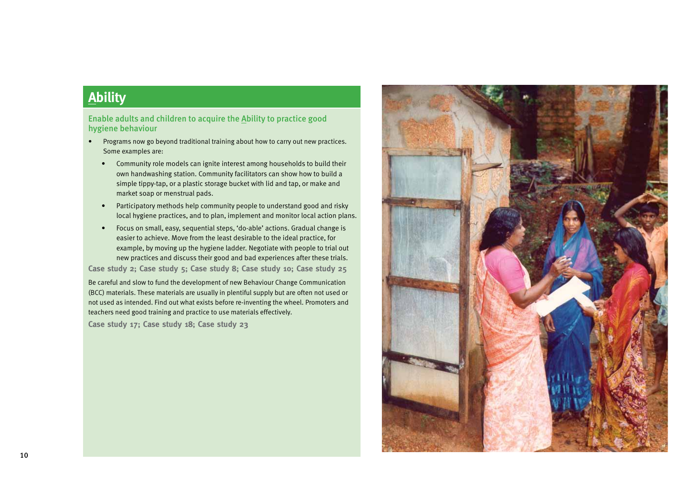## **Ability**

Enable adults and children to acquire the Ability to practice good hygiene behaviour

- Programs now go beyond traditional training about how to carry out new practices. Some examples are:
	- Community role models can ignite interest among households to build their own handwashing station. Community facilitators can show how to build a simple tippy-tap, or a plastic storage bucket with lid and tap, or make and market soap or menstrual pads.
	- Participatory methods help community people to understand good and risky local hygiene practices, and to plan, implement and monitor local action plans.
	- Focus on small, easy, sequential steps, 'do-able' actions. Gradual change is easier to achieve. Move from the least desirable to the ideal practice, for example, by moving up the hygiene ladder. Negotiate with people to trial out new practices and discuss their good and bad experiences after these trials.

**Case study 2; Case study 5; Case study 8; Case study 10; Case study 25** Be careful and slow to fund the development of new Behaviour Change Communication (BCC) materials. These materials are usually in plentiful supply but are often not used or not used as intended. Find out what exists before re-inventing the wheel. Promoters and teachers need good training and practice to use materials effectively.

**Case study 17; Case study 18; Case study 23**

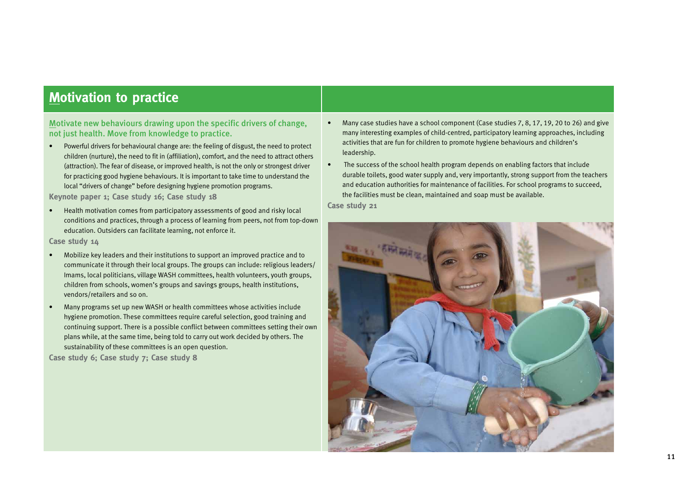## **Motivation to practice**

Motivate new behaviours drawing upon the specific drivers of change, not just health. Move from knowledge to practice.

• Powerful drivers for behavioural change are: the feeling of disgust, the need to protect children (nurture), the need to fit in (affiliation), comfort, and the need to attract others (attraction). The fear of disease, or improved health, is not the only or strongest driver for practicing good hygiene behaviours. It is important to take time to understand the local "drivers of change" before designing hygiene promotion programs.

**Keynote paper 1; Case study 16; Case study 18**

• Health motivation comes from participatory assessments of good and risky local conditions and practices, through a process of learning from peers, not from top-down education. Outsiders can facilitate learning, not enforce it.

### **Case study 14**

- Mobilize key leaders and their institutions to support an improved practice and to communicate it through their local groups. The groups can include: religious leaders/ Imams, local politicians, village WASH committees, health volunteers, youth groups, children from schools, women's groups and savings groups, health institutions, vendors/retailers and so on.
- Many programs set up new WASH or health committees whose activities include hygiene promotion. These committees require careful selection, good training and continuing support. There is a possible conflict between committees setting their own plans while, at the same time, being told to carry out work decided by others. The sustainability of these committees is an open question.

**Case study 6; Case study 7; Case study 8**

- Many case studies have a school component (Case studies 7, 8, 17, 19, 20 to 26) and give many interesting examples of child-centred, participatory learning approaches, including activities that are fun for children to promote hygiene behaviours and children's leadership.
- The success of the school health program depends on enabling factors that include durable toilets, good water supply and, very importantly, strong support from the teachers and education authorities for maintenance of facilities. For school programs to succeed, the facilities must be clean, maintained and soap must be available.

**Case study 21**